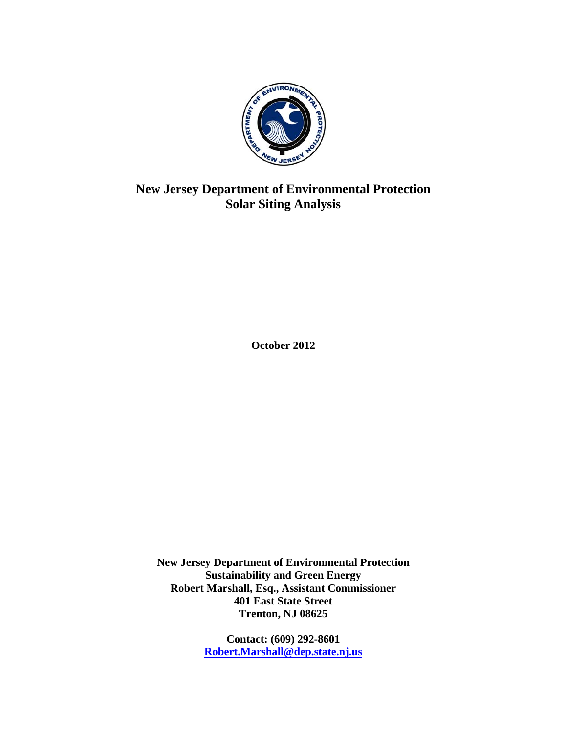

# **New Jersey Department of Environmental Protection Solar Siting Analysis**

**October 2012** 

**New Jersey Department of Environmental Protection Sustainability and Green Energy Robert Marshall, Esq., Assistant Commissioner 401 East State Street Trenton, NJ 08625** 

> **Contact: (609) 292-8601 Robert.Marshall@dep.state.nj.us**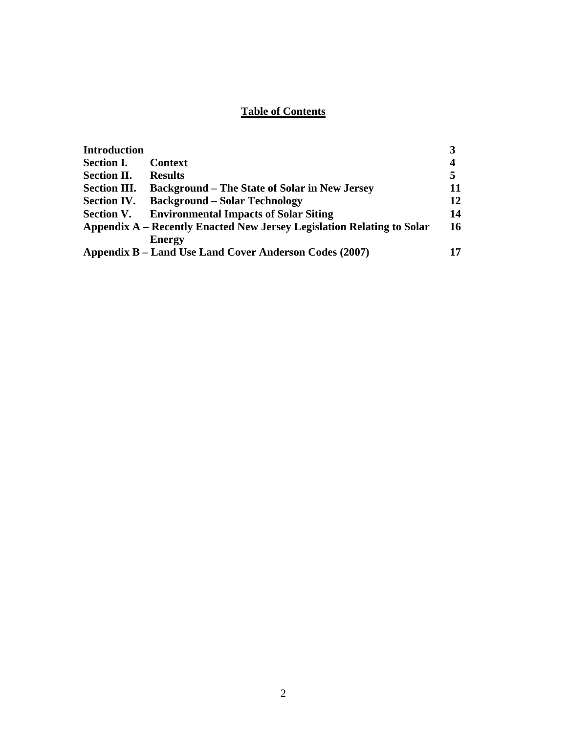## **Table of Contents**

| <b>Introduction</b> |                                                                        |    |
|---------------------|------------------------------------------------------------------------|----|
| <b>Section I.</b>   | <b>Context</b>                                                         | 4  |
| <b>Section II.</b>  | <b>Results</b>                                                         | 5  |
| <b>Section III.</b> | <b>Background – The State of Solar in New Jersey</b>                   | 11 |
| <b>Section IV.</b>  | <b>Background – Solar Technology</b>                                   | 12 |
| <b>Section V.</b>   | <b>Environmental Impacts of Solar Siting</b>                           | 14 |
|                     | Appendix A – Recently Enacted New Jersey Legislation Relating to Solar | 16 |
|                     | <b>Energy</b>                                                          |    |
|                     | Appendix B – Land Use Land Cover Anderson Codes (2007)                 |    |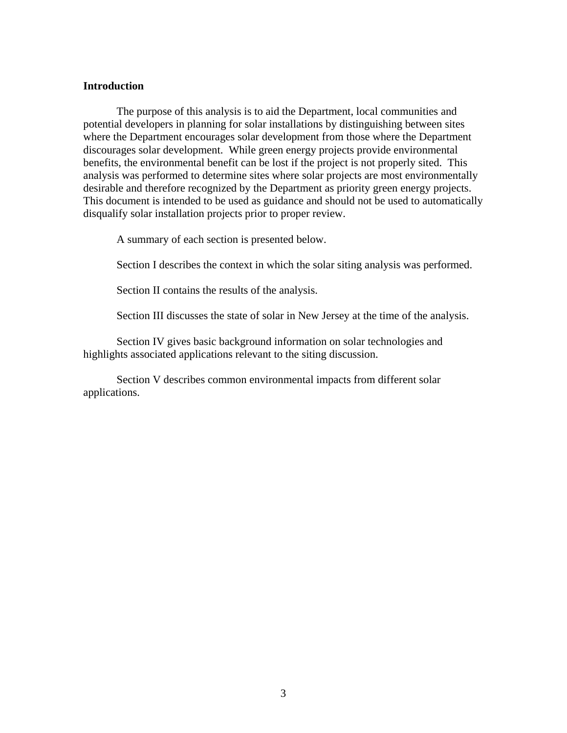#### **Introduction**

The purpose of this analysis is to aid the Department, local communities and potential developers in planning for solar installations by distinguishing between sites where the Department encourages solar development from those where the Department discourages solar development. While green energy projects provide environmental benefits, the environmental benefit can be lost if the project is not properly sited. This analysis was performed to determine sites where solar projects are most environmentally desirable and therefore recognized by the Department as priority green energy projects. This document is intended to be used as guidance and should not be used to automatically disqualify solar installation projects prior to proper review.

A summary of each section is presented below.

Section I describes the context in which the solar siting analysis was performed.

Section II contains the results of the analysis.

Section III discusses the state of solar in New Jersey at the time of the analysis.

Section IV gives basic background information on solar technologies and highlights associated applications relevant to the siting discussion.

Section V describes common environmental impacts from different solar applications.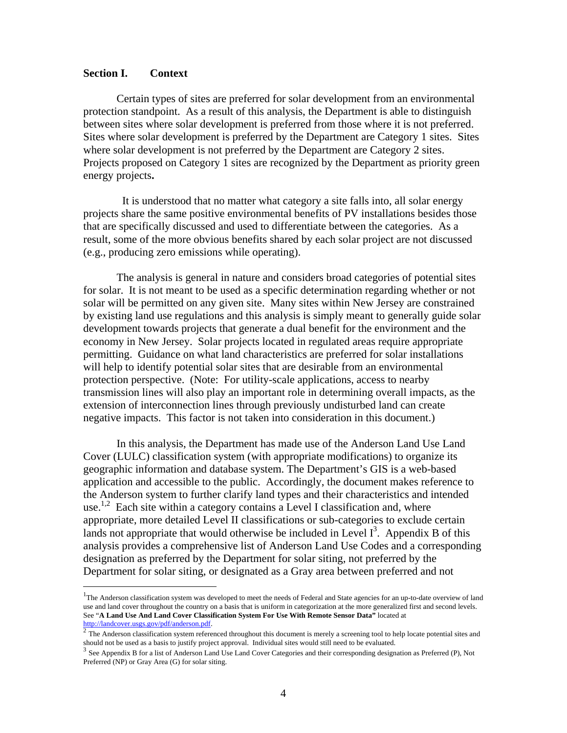#### **Section I. Context**

 $\overline{a}$ 

Certain types of sites are preferred for solar development from an environmental protection standpoint. As a result of this analysis, the Department is able to distinguish between sites where solar development is preferred from those where it is not preferred. Sites where solar development is preferred by the Department are Category 1 sites. Sites where solar development is not preferred by the Department are Category 2 sites. Projects proposed on Category 1 sites are recognized by the Department as priority green energy projects**.** 

It is understood that no matter what category a site falls into, all solar energy projects share the same positive environmental benefits of PV installations besides those that are specifically discussed and used to differentiate between the categories. As a result, some of the more obvious benefits shared by each solar project are not discussed (e.g., producing zero emissions while operating).

The analysis is general in nature and considers broad categories of potential sites for solar. It is not meant to be used as a specific determination regarding whether or not solar will be permitted on any given site. Many sites within New Jersey are constrained by existing land use regulations and this analysis is simply meant to generally guide solar development towards projects that generate a dual benefit for the environment and the economy in New Jersey. Solar projects located in regulated areas require appropriate permitting. Guidance on what land characteristics are preferred for solar installations will help to identify potential solar sites that are desirable from an environmental protection perspective. (Note: For utility-scale applications, access to nearby transmission lines will also play an important role in determining overall impacts, as the extension of interconnection lines through previously undisturbed land can create negative impacts. This factor is not taken into consideration in this document.)

In this analysis, the Department has made use of the Anderson Land Use Land Cover (LULC) classification system (with appropriate modifications) to organize its geographic information and database system. The Department's GIS is a web-based application and accessible to the public. Accordingly, the document makes reference to the Anderson system to further clarify land types and their characteristics and intended use.<sup>1,2</sup> Each site within a category contains a Level I classification and, where appropriate, more detailed Level II classifications or sub-categories to exclude certain lands not appropriate that would otherwise be included in Level  $I<sup>3</sup>$ . Appendix B of this analysis provides a comprehensive list of Anderson Land Use Codes and a corresponding designation as preferred by the Department for solar siting, not preferred by the Department for solar siting, or designated as a Gray area between preferred and not

<sup>&</sup>lt;sup>1</sup>The Anderson classification system was developed to meet the needs of Federal and State agencies for an up-to-date overview of land use and land cover throughout the country on a basis that is uniform in categorization at the more generalized first and second levels. See "**A Land Use And Land Cover Classification System For Use With Remote Sensor Data"** located at http://landcover.usgs.gov/pdf/anderson.pdf.

 $\frac{2}{\pi}$  The Anderson classification system referenced throughout this document is merely a screening tool to help locate potential sites and should not be used as a basis to justify project approval. Individual sites w

 $3$  See Appendix B for a list of Anderson Land Use Land Cover Categories and their corresponding designation as Preferred (P), Not Preferred (NP) or Gray Area (G) for solar siting.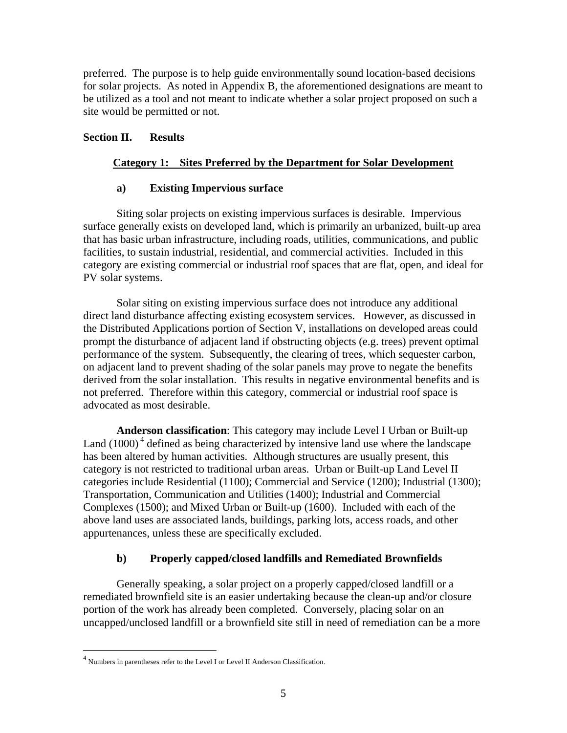preferred. The purpose is to help guide environmentally sound location-based decisions for solar projects. As noted in Appendix B, the aforementioned designations are meant to be utilized as a tool and not meant to indicate whether a solar project proposed on such a site would be permitted or not.

### **Section II. Results**

### **Category 1: Sites Preferred by the Department for Solar Development**

### **a) Existing Impervious surface**

Siting solar projects on existing impervious surfaces is desirable. Impervious surface generally exists on developed land, which is primarily an urbanized, built-up area that has basic urban infrastructure, including roads, utilities, communications, and public facilities, to sustain industrial, residential, and commercial activities. Included in this category are existing commercial or industrial roof spaces that are flat, open, and ideal for PV solar systems.

Solar siting on existing impervious surface does not introduce any additional direct land disturbance affecting existing ecosystem services. However, as discussed in the Distributed Applications portion of Section V, installations on developed areas could prompt the disturbance of adjacent land if obstructing objects (e.g. trees) prevent optimal performance of the system. Subsequently, the clearing of trees, which sequester carbon, on adjacent land to prevent shading of the solar panels may prove to negate the benefits derived from the solar installation. This results in negative environmental benefits and is not preferred. Therefore within this category, commercial or industrial roof space is advocated as most desirable.

**Anderson classification**: This category may include Level I Urban or Built-up Land  $(1000)^4$  defined as being characterized by intensive land use where the landscape has been altered by human activities. Although structures are usually present, this category is not restricted to traditional urban areas. Urban or Built-up Land Level II categories include Residential (1100); Commercial and Service (1200); Industrial (1300); Transportation, Communication and Utilities (1400); Industrial and Commercial Complexes (1500); and Mixed Urban or Built-up (1600). Included with each of the above land uses are associated lands, buildings, parking lots, access roads, and other appurtenances, unless these are specifically excluded.

### **b) Properly capped/closed landfills and Remediated Brownfields**

Generally speaking, a solar project on a properly capped/closed landfill or a remediated brownfield site is an easier undertaking because the clean-up and/or closure portion of the work has already been completed. Conversely, placing solar on an uncapped/unclosed landfill or a brownfield site still in need of remediation can be a more

<sup>4</sup> Numbers in parentheses refer to the Level I or Level II Anderson Classification.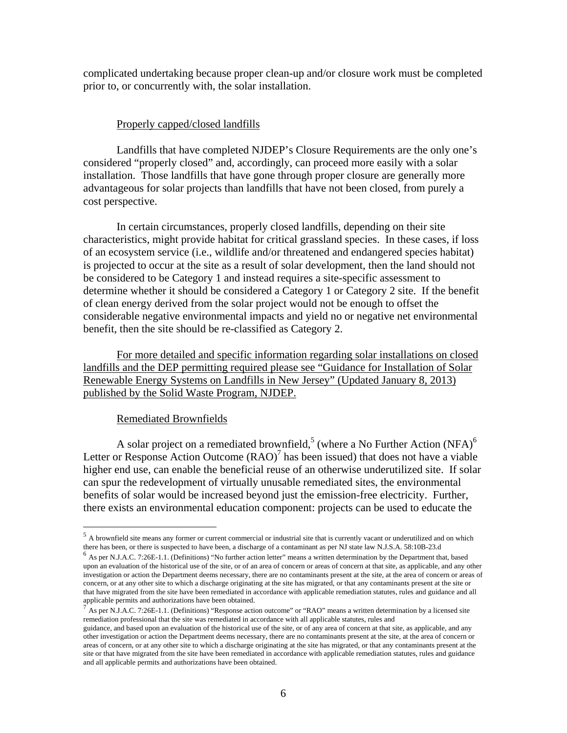complicated undertaking because proper clean-up and/or closure work must be completed prior to, or concurrently with, the solar installation.

#### Properly capped/closed landfills

Landfills that have completed NJDEP's Closure Requirements are the only one's considered "properly closed" and, accordingly, can proceed more easily with a solar installation. Those landfills that have gone through proper closure are generally more advantageous for solar projects than landfills that have not been closed, from purely a cost perspective.

In certain circumstances, properly closed landfills, depending on their site characteristics, might provide habitat for critical grassland species. In these cases, if loss of an ecosystem service (i.e., wildlife and/or threatened and endangered species habitat) is projected to occur at the site as a result of solar development, then the land should not be considered to be Category 1 and instead requires a site-specific assessment to determine whether it should be considered a Category 1 or Category 2 site. If the benefit of clean energy derived from the solar project would not be enough to offset the considerable negative environmental impacts and yield no or negative net environmental benefit, then the site should be re-classified as Category 2.

For more detailed and specific information regarding solar installations on closed landfills and the DEP permitting required please see "Guidance for Installation of Solar Renewable Energy Systems on Landfills in New Jersey" (Updated January 8, 2013) published by the Solid Waste Program, NJDEP.

#### Remediated Brownfields

 $\overline{a}$ 

A solar project on a remediated brownfield,<sup>5</sup> (where a No Further Action (NFA)<sup>6</sup> Letter or Response Action Outcome  $(RAO)^7$  has been issued) that does not have a viable higher end use, can enable the beneficial reuse of an otherwise underutilized site. If solar can spur the redevelopment of virtually unusable remediated sites, the environmental benefits of solar would be increased beyond just the emission-free electricity. Further, there exists an environmental education component: projects can be used to educate the

<sup>&</sup>lt;sup>5</sup> A brownfield site means any former or current commercial or industrial site that is currently vacant or underutilized and on which

there has been, or there is suspected to have been, a discharge of a contaminant as per NJ state law N.J.S.A. 58:10B-23.d<br><sup>6</sup> As per N.J.A.C. 7:26E-1.1. (Definitions) "No further action letter" means a written determinatio upon an evaluation of the historical use of the site, or of an area of concern or areas of concern at that site, as applicable, and any other investigation or action the Department deems necessary, there are no contaminants present at the site, at the area of concern or areas of concern, or at any other site to which a discharge originating at the site has migrated, or that any contaminants present at the site or that have migrated from the site have been remediated in accordance with applicable remediation statutes, rules and guidance and all

As per N.J.A.C. 7:26E-1.1. (Definitions) "Response action outcome" or "RAO" means a written determination by a licensed site remediation professional that the site was remediated in accordance with all applicable statutes, rules and

guidance, and based upon an evaluation of the historical use of the site, or of any area of concern at that site, as applicable, and any other investigation or action the Department deems necessary, there are no contaminants present at the site, at the area of concern or areas of concern, or at any other site to which a discharge originating at the site has migrated, or that any contaminants present at the site or that have migrated from the site have been remediated in accordance with applicable remediation statutes, rules and guidance and all applicable permits and authorizations have been obtained.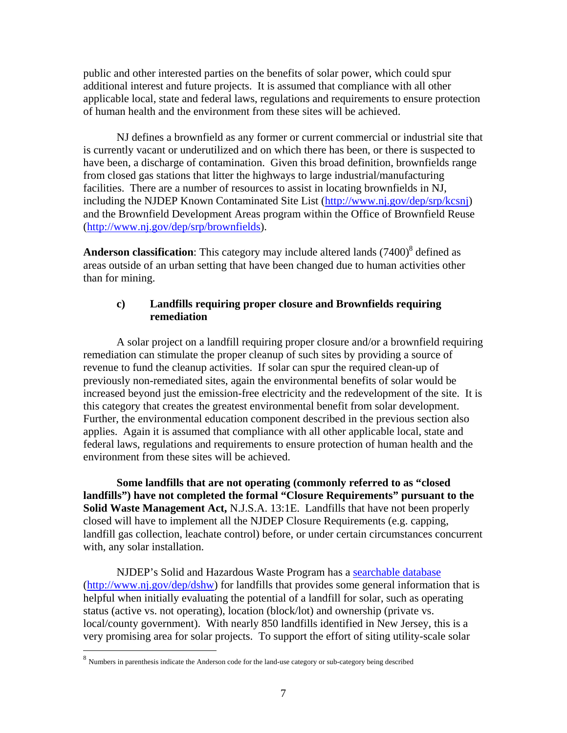public and other interested parties on the benefits of solar power, which could spur additional interest and future projects. It is assumed that compliance with all other applicable local, state and federal laws, regulations and requirements to ensure protection of human health and the environment from these sites will be achieved.

NJ defines a brownfield as any former or current commercial or industrial site that is currently vacant or underutilized and on which there has been, or there is suspected to have been, a discharge of contamination. Given this broad definition, brownfields range from closed gas stations that litter the highways to large industrial/manufacturing facilities. There are a number of resources to assist in locating brownfields in NJ, including the NJDEP Known Contaminated Site List (http://www.nj.gov/dep/srp/kcsnj) and the Brownfield Development Areas program within the Office of Brownfield Reuse (http://www.nj.gov/dep/srp/brownfields).

**Anderson classification**: This category may include altered lands  $(7400)^8$  defined as areas outside of an urban setting that have been changed due to human activities other than for mining.

### **c) Landfills requiring proper closure and Brownfields requiring remediation**

A solar project on a landfill requiring proper closure and/or a brownfield requiring remediation can stimulate the proper cleanup of such sites by providing a source of revenue to fund the cleanup activities. If solar can spur the required clean-up of previously non-remediated sites, again the environmental benefits of solar would be increased beyond just the emission-free electricity and the redevelopment of the site. It is this category that creates the greatest environmental benefit from solar development. Further, the environmental education component described in the previous section also applies. Again it is assumed that compliance with all other applicable local, state and federal laws, regulations and requirements to ensure protection of human health and the environment from these sites will be achieved.

**Some landfills that are not operating (commonly referred to as "closed landfills") have not completed the formal "Closure Requirements" pursuant to the Solid Waste Management Act,** N.J.S.A. 13:1E. Landfills that have not been properly closed will have to implement all the NJDEP Closure Requirements (e.g. capping, landfill gas collection, leachate control) before, or under certain circumstances concurrent with, any solar installation.

NJDEP's Solid and Hazardous Waste Program has a searchable database (http://www.nj.gov/dep/dshw) for landfills that provides some general information that is helpful when initially evaluating the potential of a landfill for solar, such as operating status (active vs. not operating), location (block/lot) and ownership (private vs. local/county government). With nearly 850 landfills identified in New Jersey, this is a very promising area for solar projects. To support the effort of siting utility-scale solar

<sup>8</sup> Numbers in parenthesis indicate the Anderson code for the land-use category or sub-category being described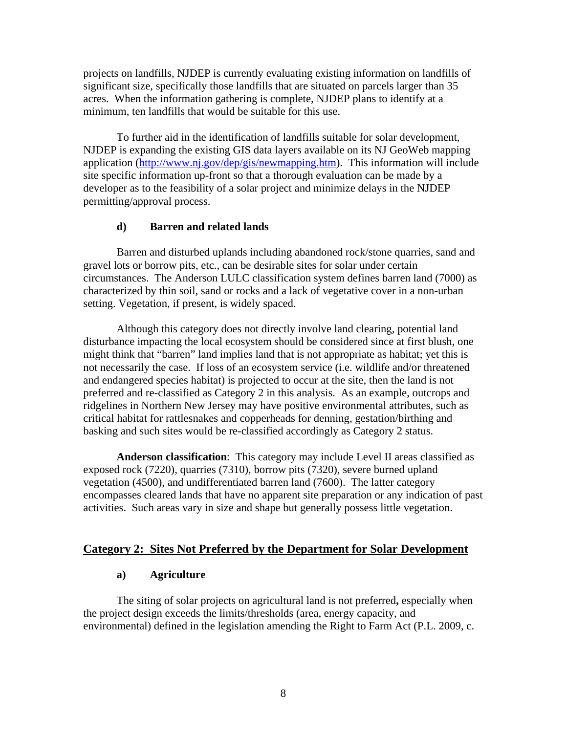projects on landfills, NJDEP is currently evaluating existing information on landfills of significant size, specifically those landfills that are situated on parcels larger than 35 acres. When the information gathering is complete, NJDEP plans to identify at a minimum, ten landfills that would be suitable for this use.

To further aid in the identification of landfills suitable for solar development, NJDEP is expanding the existing GIS data layers available on its NJ GeoWeb mapping application (http://www.nj.gov/dep/gis/newmapping.htm). This information will include site specific information up-front so that a thorough evaluation can be made by a developer as to the feasibility of a solar project and minimize delays in the NJDEP permitting/approval process.

#### **d) Barren and related lands**

Barren and disturbed uplands including abandoned rock/stone quarries, sand and gravel lots or borrow pits, etc., can be desirable sites for solar under certain circumstances. The Anderson LULC classification system defines barren land (7000) as characterized by thin soil, sand or rocks and a lack of vegetative cover in a non-urban setting. Vegetation, if present, is widely spaced.

Although this category does not directly involve land clearing, potential land disturbance impacting the local ecosystem should be considered since at first blush, one might think that "barren" land implies land that is not appropriate as habitat; yet this is not necessarily the case. If loss of an ecosystem service (i.e. wildlife and/or threatened and endangered species habitat) is projected to occur at the site, then the land is not preferred and re-classified as Category 2 in this analysis. As an example, outcrops and ridgelines in Northern New Jersey may have positive environmental attributes, such as critical habitat for rattlesnakes and copperheads for denning, gestation/birthing and basking and such sites would be re-classified accordingly as Category 2 status.

**Anderson classification**: This category may include Level II areas classified as exposed rock (7220), quarries (7310), borrow pits (7320), severe burned upland vegetation (4500), and undifferentiated barren land (7600). The latter category encompasses cleared lands that have no apparent site preparation or any indication of past activities. Such areas vary in size and shape but generally possess little vegetation.

### **Category 2: Sites Not Preferred by the Department for Solar Development**

### **a) Agriculture**

The siting of solar projects on agricultural land is not preferred**,** especially when the project design exceeds the limits/thresholds (area, energy capacity, and environmental) defined in the legislation amending the Right to Farm Act (P.L. 2009, c.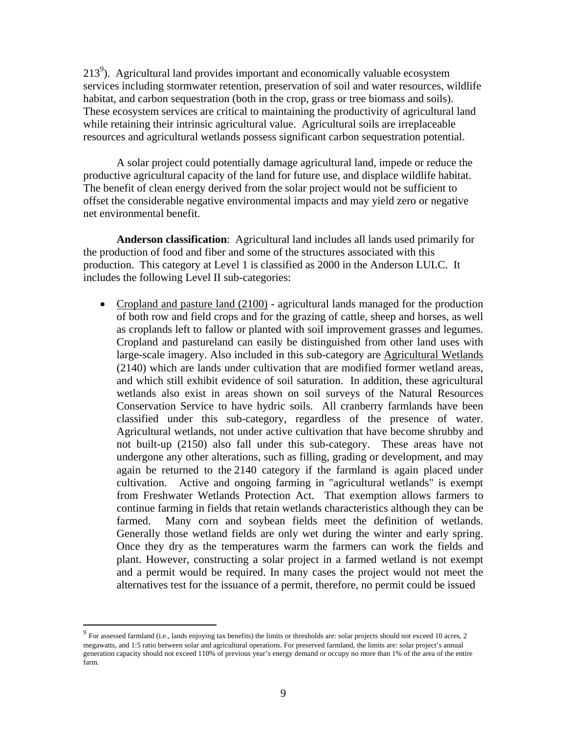$213<sup>9</sup>$ ). Agricultural land provides important and economically valuable ecosystem services including stormwater retention, preservation of soil and water resources, wildlife habitat, and carbon sequestration (both in the crop, grass or tree biomass and soils). These ecosystem services are critical to maintaining the productivity of agricultural land while retaining their intrinsic agricultural value. Agricultural soils are irreplaceable resources and agricultural wetlands possess significant carbon sequestration potential.

A solar project could potentially damage agricultural land, impede or reduce the productive agricultural capacity of the land for future use, and displace wildlife habitat. The benefit of clean energy derived from the solar project would not be sufficient to offset the considerable negative environmental impacts and may yield zero or negative net environmental benefit.

**Anderson classification**: Agricultural land includes all lands used primarily for the production of food and fiber and some of the structures associated with this production. This category at Level 1 is classified as 2000 in the Anderson LULC. It includes the following Level II sub-categories:

• Cropland and pasture land (2100) - agricultural lands managed for the production of both row and field crops and for the grazing of cattle, sheep and horses, as well as croplands left to fallow or planted with soil improvement grasses and legumes. Cropland and pastureland can easily be distinguished from other land uses with large-scale imagery. Also included in this sub-category are Agricultural Wetlands (2140) which are lands under cultivation that are modified former wetland areas, and which still exhibit evidence of soil saturation. In addition, these agricultural wetlands also exist in areas shown on soil surveys of the Natural Resources Conservation Service to have hydric soils. All cranberry farmlands have been classified under this sub-category, regardless of the presence of water. Agricultural wetlands, not under active cultivation that have become shrubby and not built-up (2150) also fall under this sub-category. These areas have not undergone any other alterations, such as filling, grading or development, and may again be returned to the 2140 category if the farmland is again placed under cultivation. Active and ongoing farming in "agricultural wetlands" is exempt from Freshwater Wetlands Protection Act. That exemption allows farmers to continue farming in fields that retain wetlands characteristics although they can be farmed. Many corn and soybean fields meet the definition of wetlands. Generally those wetland fields are only wet during the winter and early spring. Once they dry as the temperatures warm the farmers can work the fields and plant. However, constructing a solar project in a farmed wetland is not exempt and a permit would be required. In many cases the project would not meet the alternatives test for the issuance of a permit, therefore, no permit could be issued

 $9$  For assessed farmland (i.e., lands enjoying tax benefits) the limits or thresholds are: solar projects should not exceed 10 acres, 2 megawatts, and 1:5 ratio between solar and agricultural operations. For preserved farmland, the limits are: solar project's annual generation capacity should not exceed 110% of previous year's energy demand or occupy no more than 1% of the area of the entire farm.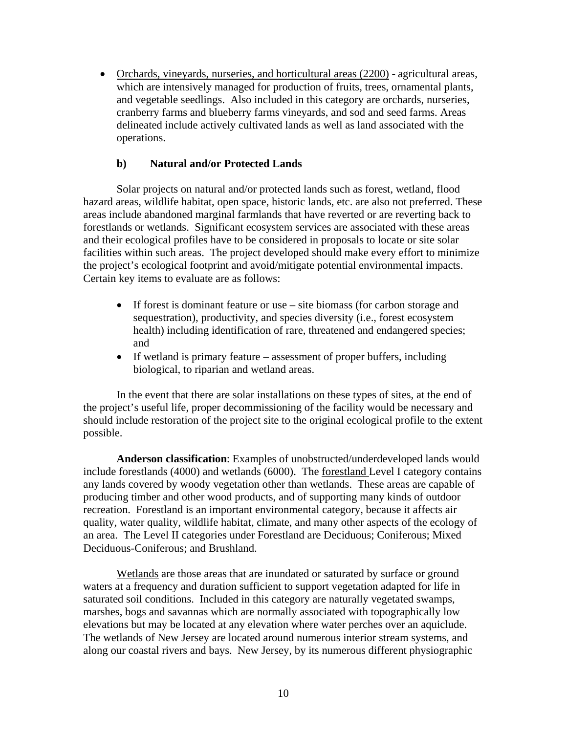• Orchards, vineyards, nurseries, and horticultural areas (2200) - agricultural areas, which are intensively managed for production of fruits, trees, ornamental plants, and vegetable seedlings. Also included in this category are orchards, nurseries, cranberry farms and blueberry farms vineyards, and sod and seed farms. Areas delineated include actively cultivated lands as well as land associated with the operations.

### **b) Natural and/or Protected Lands**

Solar projects on natural and/or protected lands such as forest, wetland, flood hazard areas, wildlife habitat, open space, historic lands, etc. are also not preferred. These areas include abandoned marginal farmlands that have reverted or are reverting back to forestlands or wetlands. Significant ecosystem services are associated with these areas and their ecological profiles have to be considered in proposals to locate or site solar facilities within such areas. The project developed should make every effort to minimize the project's ecological footprint and avoid/mitigate potential environmental impacts. Certain key items to evaluate are as follows:

- If forest is dominant feature or use site biomass (for carbon storage and sequestration), productivity, and species diversity (i.e., forest ecosystem health) including identification of rare, threatened and endangered species; and
- If wetland is primary feature assessment of proper buffers, including biological, to riparian and wetland areas.

In the event that there are solar installations on these types of sites, at the end of the project's useful life, proper decommissioning of the facility would be necessary and should include restoration of the project site to the original ecological profile to the extent possible.

**Anderson classification**: Examples of unobstructed/underdeveloped lands would include forestlands (4000) and wetlands (6000). The forestland Level I category contains any lands covered by woody vegetation other than wetlands. These areas are capable of producing timber and other wood products, and of supporting many kinds of outdoor recreation. Forestland is an important environmental category, because it affects air quality, water quality, wildlife habitat, climate, and many other aspects of the ecology of an area. The Level II categories under Forestland are Deciduous; Coniferous; Mixed Deciduous-Coniferous; and Brushland.

Wetlands are those areas that are inundated or saturated by surface or ground waters at a frequency and duration sufficient to support vegetation adapted for life in saturated soil conditions. Included in this category are naturally vegetated swamps, marshes, bogs and savannas which are normally associated with topographically low elevations but may be located at any elevation where water perches over an aquiclude. The wetlands of New Jersey are located around numerous interior stream systems, and along our coastal rivers and bays. New Jersey, by its numerous different physiographic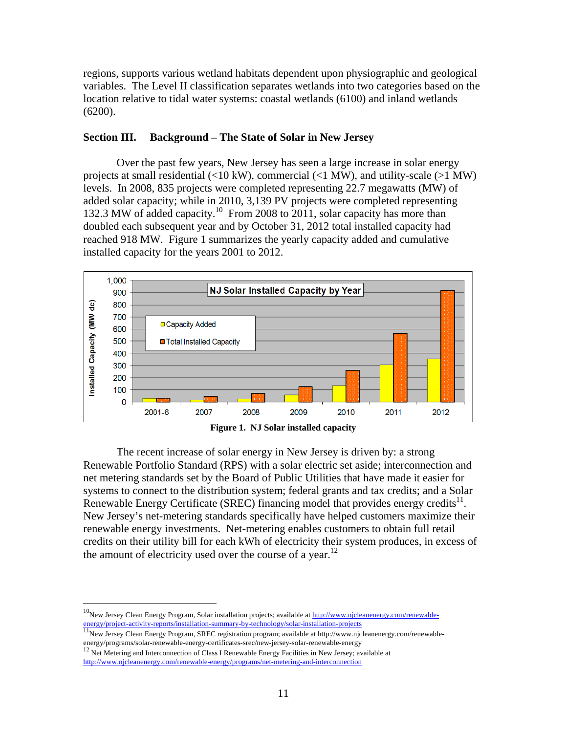regions, supports various wetland habitats dependent upon physiographic and geological variables. The Level II classification separates wetlands into two categories based on the location relative to tidal water systems: coastal wetlands (6100) and inland wetlands (6200).

### **Section III. Background – The State of Solar in New Jersey**

Over the past few years, New Jersey has seen a large increase in solar energy projects at small residential  $\langle$ <10 kW), commercial  $\langle$ <1 MW), and utility-scale (>1 MW) levels. In 2008, 835 projects were completed representing 22.7 megawatts (MW) of added solar capacity; while in 2010, 3,139 PV projects were completed representing 132.3 MW of added capacity.10 From 2008 to 2011, solar capacity has more than doubled each subsequent year and by October 31, 2012 total installed capacity had reached 918 MW. Figure 1 summarizes the yearly capacity added and cumulative installed capacity for the years 2001 to 2012.



**Figure 1. NJ Solar installed capacity** 

The recent increase of solar energy in New Jersey is driven by: a strong Renewable Portfolio Standard (RPS) with a solar electric set aside; interconnection and net metering standards set by the Board of Public Utilities that have made it easier for systems to connect to the distribution system; federal grants and tax credits; and a Solar Renewable Energy Certificate (SREC) financing model that provides energy credits<sup>11</sup>. New Jersey's net-metering standards specifically have helped customers maximize their renewable energy investments. Net-metering enables customers to obtain full retail credits on their utility bill for each kWh of electricity their system produces, in excess of the amount of electricity used over the course of a year.<sup>12</sup>

<sup>&</sup>lt;sup>10</sup>New Jersey Clean Energy Program, Solar installation projects; available at http://www.njcleanenergy.com/renewableenergy/project-activity-reports/installation-summary-by-technology/solar-installation-projects <sup>11</sup>New Jersey Clean Energy Program, SREC registration program; available at http://www.njcleanenergy.com/renewable-

energy/programs/solar-renewable-energy-certificates-srec/new-jersey-solar-renewable-energy<br><sup>12</sup> Net Metering and Interconnection of Class I Renewable Energy Facilities in New Jersey; available at

http://www.njcleanenergy.com/renewable-energy/programs/net-metering-and-interconnection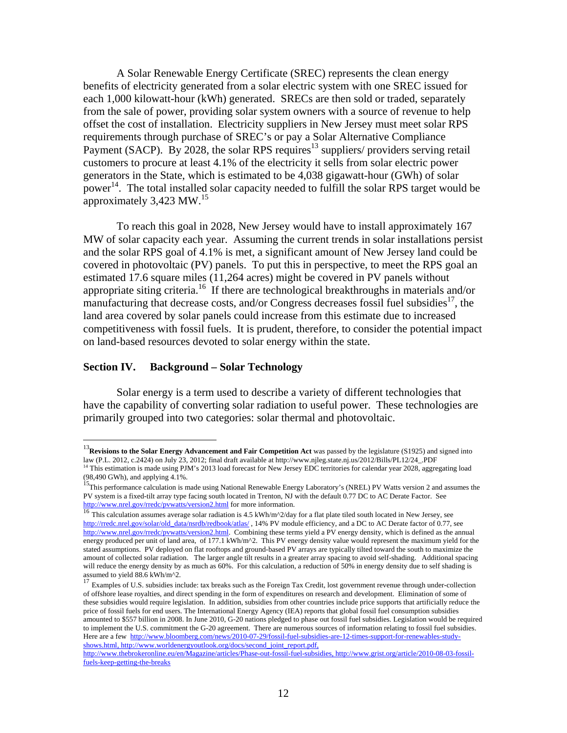A Solar Renewable Energy Certificate (SREC) represents the clean energy benefits of electricity generated from a solar electric system with one SREC issued for each 1,000 kilowatt-hour (kWh) generated. SRECs are then sold or traded, separately from the sale of power, providing solar system owners with a source of revenue to help offset the cost of installation. Electricity suppliers in New Jersey must meet solar RPS requirements through purchase of SREC's or pay a Solar Alternative Compliance Payment (SACP). By 2028, the solar RPS requires<sup>13</sup> suppliers/ providers serving retail customers to procure at least 4.1% of the electricity it sells from solar electric power generators in the State, which is estimated to be 4,038 gigawatt-hour (GWh) of solar power<sup>14</sup>. The total installed solar capacity needed to fulfill the solar RPS target would be approximately  $3,423$  MW.<sup>15</sup>

To reach this goal in 2028, New Jersey would have to install approximately 167 MW of solar capacity each year. Assuming the current trends in solar installations persist and the solar RPS goal of 4.1% is met, a significant amount of New Jersey land could be covered in photovoltaic (PV) panels. To put this in perspective, to meet the RPS goal an estimated 17.6 square miles (11,264 acres) might be covered in PV panels without appropriate siting criteria.16 If there are technological breakthroughs in materials and/or manufacturing that decrease costs, and/or Congress decreases fossil fuel subsidies<sup>17</sup>, the land area covered by solar panels could increase from this estimate due to increased competitiveness with fossil fuels. It is prudent, therefore, to consider the potential impact on land-based resources devoted to solar energy within the state.

#### **Section IV. Background – Solar Technology**

 $\overline{a}$ 

Solar energy is a term used to describe a variety of different technologies that have the capability of converting solar radiation to useful power. These technologies are primarily grouped into two categories: solar thermal and photovoltaic.

<sup>&</sup>lt;sup>13</sup>**Revisions to the Solar Energy Advancement and Fair Competition Act** was passed by the legislature (S1925) and signed into law (P.L. 2012, c.2424) on July 23, 2012; final draft available at http://www.njleg.state.nj.us <sup>14</sup> This estimation is made using PJM's 2013 load forecast for New Jersey EDC territories for calendar year 2028, aggregating load (98,490 GWh), and applying 4.1%.<br><sup>15</sup>This performance calculation is made using National Renewable Energy Laboratory's (NREL) PV Watts version 2 and assumes the

PV system is a fixed-tilt array type facing south located in Trenton, NJ with the default 0.77 DC to AC Derate Factor. See http://www.nrel.gov/rredc/pvwatts/version2.html for more information.<br>
<sup>16</sup> This calculation assumes average solar radiation is 4.5 kWh/m^2/day for a flat plate tiled south located in New Jersey, see

http://rredc.nrel.gov/solar/old\_data/nsrdb/redbook/atlas/ , 14% PV module efficiency, and a DC to AC Derate factor of 0.77, see http://www.nrel.gov/rredc/pvwatts/version2.html. Combining these terms yield a PV energy density, which is defined as the annual energy produced per unit of land area, of 177.1 kWh/m^2. This PV energy density value would represent the maximum yield for the stated assumptions. PV deployed on flat rooftops and ground-based PV arrays are typically tilted toward the south to maximize the amount of collected solar radiation. The larger angle tilt results in a greater array spacing to avoid self-shading. Additional spacing will reduce the energy density by as much as 60%. For this calculation, a reduction of 50% in energy density due to self shading is assumed to yield 88.6 kWh/m<sup> $\gamma$ </sup>2.<br><sup>17</sup> F<sub>1</sub>

<sup>17</sup> Examples of U.S. subsidies include: tax breaks such as the Foreign Tax Credit, lost government revenue through under-collection of offshore lease royalties, and direct spending in the form of expenditures on research and development. Elimination of some of these subsidies would require legislation. In addition, subsidies from other countries include price supports that artificially reduce the price of fossil fuels for end users. The International Energy Agency (IEA) reports that global fossil fuel consumption subsidies amounted to \$557 billion in 2008. In June 2010, G-20 nations pledged to phase out fossil fuel subsidies. Legislation would be required to implement the U.S. commitment the G-20 agreement. There are numerous sources of information relating to fossil fuel subsidies. Here are a few http://www.bloomberg.com/news/2010-07-29/fossil-fuel-subsidies-are-12-times-support-for-renewables-studyshows.html, http://www.worldenergyoutlook.org/docs/second\_joint\_report.pdf,

http://www.thebrokeronline.eu/en/Magazine/articles/Phase-out-fossil-fuel-subsidies, http://www.grist.org/article/2010-08-03-fossilfuels-keep-getting-the-breaks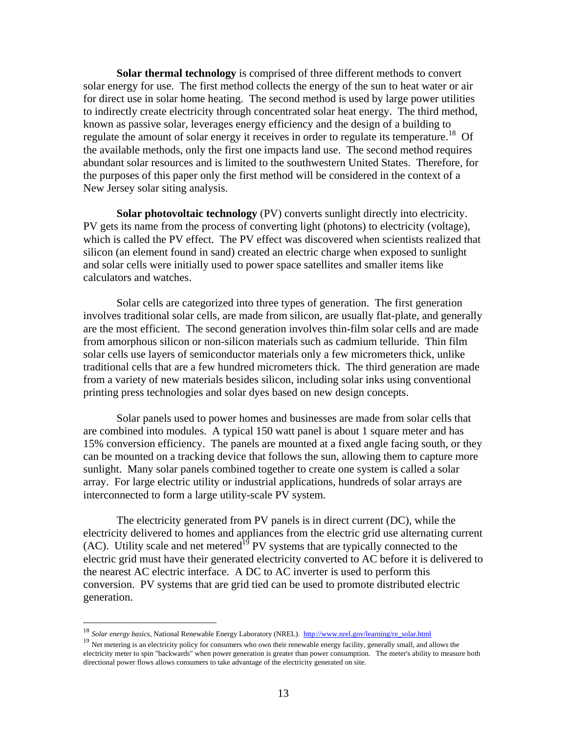**Solar thermal technology** is comprised of three different methods to convert solar energy for use. The first method collects the energy of the sun to heat water or air for direct use in solar home heating. The second method is used by large power utilities to indirectly create electricity through concentrated solar heat energy. The third method, known as passive solar, leverages energy efficiency and the design of a building to regulate the amount of solar energy it receives in order to regulate its temperature.<sup>18</sup> Of the available methods, only the first one impacts land use. The second method requires abundant solar resources and is limited to the southwestern United States. Therefore, for the purposes of this paper only the first method will be considered in the context of a New Jersey solar siting analysis.

**Solar photovoltaic technology** (PV) converts sunlight directly into electricity. PV gets its name from the process of converting light (photons) to electricity (voltage), which is called the PV effect. The PV effect was discovered when scientists realized that silicon (an element found in sand) created an electric charge when exposed to sunlight and solar cells were initially used to power space satellites and smaller items like calculators and watches.

Solar cells are categorized into three types of generation. The first generation involves traditional solar cells, are made from silicon, are usually flat-plate, and generally are the most efficient. The second generation involves thin-film solar cells and are made from amorphous silicon or non-silicon materials such as cadmium telluride. Thin film solar cells use layers of semiconductor materials only a few micrometers thick, unlike traditional cells that are a few hundred micrometers thick. The third generation are made from a variety of new materials besides silicon, including solar inks using conventional printing press technologies and solar dyes based on new design concepts.

Solar panels used to power homes and businesses are made from solar cells that are combined into modules. A typical 150 watt panel is about 1 square meter and has 15% conversion efficiency. The panels are mounted at a fixed angle facing south, or they can be mounted on a tracking device that follows the sun, allowing them to capture more sunlight. Many solar panels combined together to create one system is called a solar array. For large electric utility or industrial applications, hundreds of solar arrays are interconnected to form a large utility-scale PV system.

The electricity generated from PV panels is in direct current (DC), while the electricity delivered to homes and appliances from the electric grid use alternating current (AC). Utility scale and net metered<sup>19</sup> PV systems that are typically connected to the electric grid must have their generated electricity converted to AC before it is delivered to the nearest AC electric interface. A DC to AC inverter is used to perform this conversion. PV systems that are grid tied can be used to promote distributed electric generation.

1

<sup>&</sup>lt;sup>18</sup> Solar energy basics, National Renewable Energy Laboratory (NREL). http://www.nrel.gov/learning/re\_solar.html

<sup>&</sup>lt;sup>19</sup> Net metering is an electricity policy for consumers who own their renewable energy facility, generally small, and allows the electricity meter to spin "backwards" when power generation is greater than power consumption. The meter's ability to measure both directional power flows allows consumers to take advantage of the electricity generated on site.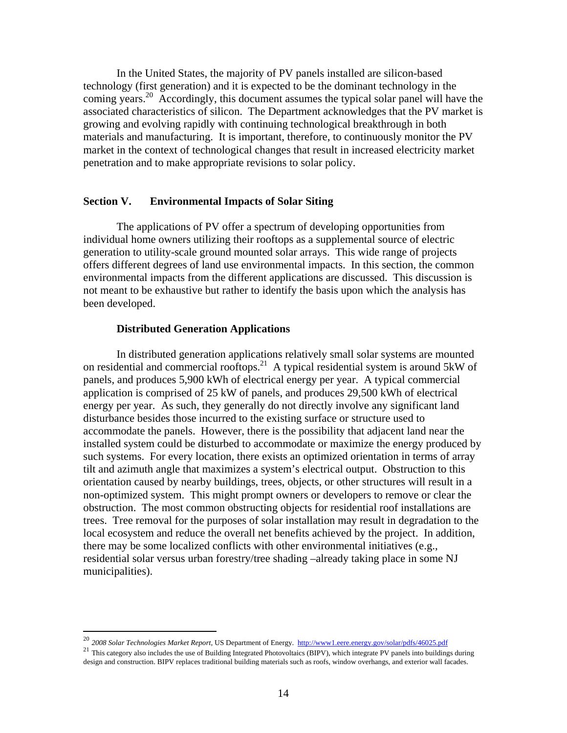In the United States, the majority of PV panels installed are silicon-based technology (first generation) and it is expected to be the dominant technology in the coming years.<sup>20</sup> Accordingly, this document assumes the typical solar panel will have the associated characteristics of silicon. The Department acknowledges that the PV market is growing and evolving rapidly with continuing technological breakthrough in both materials and manufacturing. It is important, therefore, to continuously monitor the PV market in the context of technological changes that result in increased electricity market penetration and to make appropriate revisions to solar policy.

#### **Section V. Environmental Impacts of Solar Siting**

The applications of PV offer a spectrum of developing opportunities from individual home owners utilizing their rooftops as a supplemental source of electric generation to utility-scale ground mounted solar arrays. This wide range of projects offers different degrees of land use environmental impacts. In this section, the common environmental impacts from the different applications are discussed. This discussion is not meant to be exhaustive but rather to identify the basis upon which the analysis has been developed.

#### **Distributed Generation Applications**

1

In distributed generation applications relatively small solar systems are mounted on residential and commercial rooftops.21 A typical residential system is around 5kW of panels, and produces 5,900 kWh of electrical energy per year. A typical commercial application is comprised of 25 kW of panels, and produces 29,500 kWh of electrical energy per year. As such, they generally do not directly involve any significant land disturbance besides those incurred to the existing surface or structure used to accommodate the panels. However, there is the possibility that adjacent land near the installed system could be disturbed to accommodate or maximize the energy produced by such systems. For every location, there exists an optimized orientation in terms of array tilt and azimuth angle that maximizes a system's electrical output. Obstruction to this orientation caused by nearby buildings, trees, objects, or other structures will result in a non-optimized system. This might prompt owners or developers to remove or clear the obstruction. The most common obstructing objects for residential roof installations are trees. Tree removal for the purposes of solar installation may result in degradation to the local ecosystem and reduce the overall net benefits achieved by the project. In addition, there may be some localized conflicts with other environmental initiatives (e.g., residential solar versus urban forestry/tree shading –already taking place in some NJ municipalities).

<sup>&</sup>lt;sup>20</sup> 2008 Solar Technologies Market Report, US Department of Energy.  $\frac{http://www1.eere.energy.gov/solar/pdfs/46025.pdf}{http://www1.eere.energy.gov/solar/pdfs/46025.pdf}$ <br><sup>21</sup> This category also includes the use of Building Integrated Photovoltaics (BIPV), which integrate PV design and construction. BIPV replaces traditional building materials such as roofs, window overhangs, and exterior wall facades.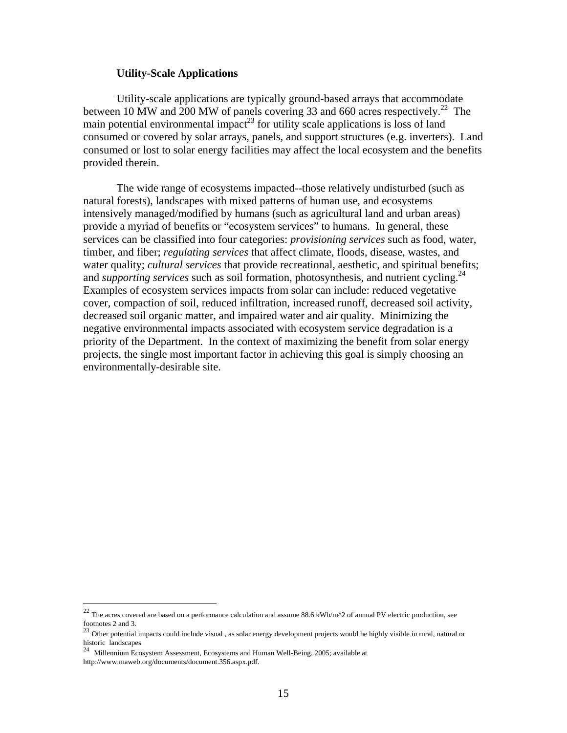#### **Utility-Scale Applications**

Utility-scale applications are typically ground-based arrays that accommodate between 10 MW and 200 MW of panels covering 33 and 660 acres respectively.<sup>22</sup> The main potential environmental impact<sup>23</sup> for utility scale applications is loss of land consumed or covered by solar arrays, panels, and support structures (e.g. inverters). Land consumed or lost to solar energy facilities may affect the local ecosystem and the benefits provided therein.

The wide range of ecosystems impacted--those relatively undisturbed (such as natural forests), landscapes with mixed patterns of human use, and ecosystems intensively managed/modified by humans (such as agricultural land and urban areas) provide a myriad of benefits or "ecosystem services" to humans. In general, these services can be classified into four categories: *provisioning services* such as food, water, timber, and fiber; *regulating services* that affect climate, floods, disease, wastes, and water quality; *cultural services* that provide recreational, aesthetic, and spiritual benefits; and *supporting services* such as soil formation, photosynthesis, and nutrient cycling.<sup>24</sup> Examples of ecosystem services impacts from solar can include: reduced vegetative cover, compaction of soil, reduced infiltration, increased runoff, decreased soil activity, decreased soil organic matter, and impaired water and air quality. Minimizing the negative environmental impacts associated with ecosystem service degradation is a priority of the Department. In the context of maximizing the benefit from solar energy projects, the single most important factor in achieving this goal is simply choosing an environmentally-desirable site.

1

<sup>&</sup>lt;sup>22</sup> The acres covered are based on a performance calculation and assume 88.6 kWh/m<sup> $\land$ </sup>2 of annual PV electric production, see footnotes 2 and 3.

 $23$  Other potential impacts could include visual, as solar energy development projects would be highly visible in rural, natural or  $23$ historic landscapes  $^{24}$  Millengian  $\Gamma$ 

<sup>24</sup> Millennium Ecosystem Assessment, Ecosystems and Human Well-Being, 2005; available at http://www.maweb.org/documents/document.356.aspx.pdf.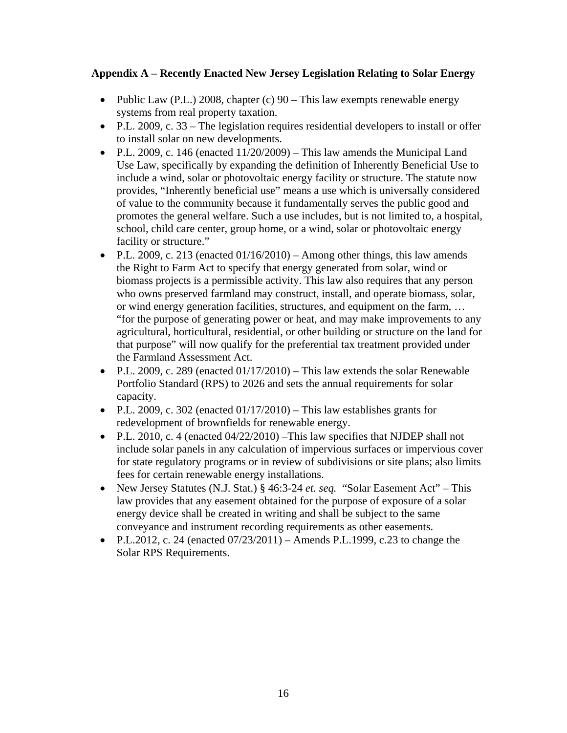### **Appendix A – Recently Enacted New Jersey Legislation Relating to Solar Energy**

- Public Law (P.L.) 2008, chapter (c)  $90 -$ This law exempts renewable energy systems from real property taxation.
- P.L. 2009, c. 33 The legislation requires residential developers to install or offer to install solar on new developments.
- P.L. 2009, c. 146 (enacted  $11/20/2009$ ) This law amends the Municipal Land Use Law, specifically by expanding the definition of Inherently Beneficial Use to include a wind, solar or photovoltaic energy facility or structure. The statute now provides, "Inherently beneficial use" means a use which is universally considered of value to the community because it fundamentally serves the public good and promotes the general welfare. Such a use includes, but is not limited to, a hospital, school, child care center, group home, or a wind, solar or photovoltaic energy facility or structure."
- P.L. 2009, c. 213 (enacted  $01/16/2010$ ) Among other things, this law amends the Right to Farm Act to specify that energy generated from solar, wind or biomass projects is a permissible activity. This law also requires that any person who owns preserved farmland may construct, install, and operate biomass, solar, or wind energy generation facilities, structures, and equipment on the farm, … "for the purpose of generating power or heat, and may make improvements to any agricultural, horticultural, residential, or other building or structure on the land for that purpose" will now qualify for the preferential tax treatment provided under the Farmland Assessment Act.
- P.L. 2009, c. 289 (enacted 01/17/2010) This law extends the solar Renewable Portfolio Standard (RPS) to 2026 and sets the annual requirements for solar capacity.
- P.L. 2009, c. 302 (enacted  $01/17/2010$ ) This law establishes grants for redevelopment of brownfields for renewable energy.
- P.L. 2010, c. 4 (enacted 04/22/2010) –This law specifies that NJDEP shall not include solar panels in any calculation of impervious surfaces or impervious cover for state regulatory programs or in review of subdivisions or site plans; also limits fees for certain renewable energy installations.
- New Jersey Statutes (N.J. Stat.) § 46:3-24 *et. seq.* "Solar Easement Act" This law provides that any easement obtained for the purpose of exposure of a solar energy device shall be created in writing and shall be subject to the same conveyance and instrument recording requirements as other easements.
- P.L.2012, c. 24 (enacted  $07/23/2011$ ) Amends P.L.1999, c.23 to change the Solar RPS Requirements.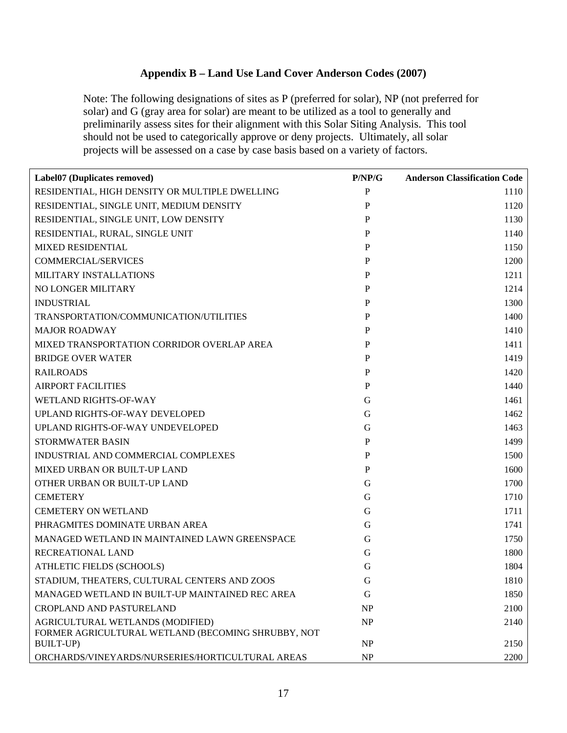## **Appendix B – Land Use Land Cover Anderson Codes (2007)**

Note: The following designations of sites as P (preferred for solar), NP (not preferred for solar) and G (gray area for solar) are meant to be utilized as a tool to generally and preliminarily assess sites for their alignment with this Solar Siting Analysis. This tool should not be used to categorically approve or deny projects. Ultimately, all solar projects will be assessed on a case by case basis based on a variety of factors.

| Label07 (Duplicates removed)                                                                                               | P/NP/G          | <b>Anderson Classification Code</b> |
|----------------------------------------------------------------------------------------------------------------------------|-----------------|-------------------------------------|
| RESIDENTIAL, HIGH DENSITY OR MULTIPLE DWELLING                                                                             | P               | 1110                                |
| RESIDENTIAL, SINGLE UNIT, MEDIUM DENSITY                                                                                   | P               | 1120                                |
| RESIDENTIAL, SINGLE UNIT, LOW DENSITY                                                                                      | P               | 1130                                |
| RESIDENTIAL, RURAL, SINGLE UNIT                                                                                            | P               | 1140                                |
| <b>MIXED RESIDENTIAL</b>                                                                                                   | $\mathbf P$     | 1150                                |
| <b>COMMERCIAL/SERVICES</b>                                                                                                 | P               | 1200                                |
| MILITARY INSTALLATIONS                                                                                                     | $\mathbf P$     | 1211                                |
| <b>NO LONGER MILITARY</b>                                                                                                  | P               | 1214                                |
| <b>INDUSTRIAL</b>                                                                                                          | $\mathbf P$     | 1300                                |
| TRANSPORTATION/COMMUNICATION/UTILITIES                                                                                     | P               | 1400                                |
| <b>MAJOR ROADWAY</b>                                                                                                       | P               | 1410                                |
| MIXED TRANSPORTATION CORRIDOR OVERLAP AREA                                                                                 | P               | 1411                                |
| <b>BRIDGE OVER WATER</b>                                                                                                   | $\mathbf P$     | 1419                                |
| <b>RAILROADS</b>                                                                                                           | P               | 1420                                |
| <b>AIRPORT FACILITIES</b>                                                                                                  | P               | 1440                                |
| <b>WETLAND RIGHTS-OF-WAY</b>                                                                                               | G               | 1461                                |
| UPLAND RIGHTS-OF-WAY DEVELOPED                                                                                             | G               | 1462                                |
| UPLAND RIGHTS-OF-WAY UNDEVELOPED                                                                                           | G               | 1463                                |
| STORMWATER BASIN                                                                                                           | P               | 1499                                |
| INDUSTRIAL AND COMMERCIAL COMPLEXES                                                                                        | P               | 1500                                |
| MIXED URBAN OR BUILT-UP LAND                                                                                               | $\mathbf P$     | 1600                                |
| OTHER URBAN OR BUILT-UP LAND                                                                                               | G               | 1700                                |
| <b>CEMETERY</b>                                                                                                            | G               | 1710                                |
| <b>CEMETERY ON WETLAND</b>                                                                                                 | G               | 1711                                |
| PHRAGMITES DOMINATE URBAN AREA                                                                                             | G               | 1741                                |
| MANAGED WETLAND IN MAINTAINED LAWN GREENSPACE                                                                              | G               | 1750                                |
| RECREATIONAL LAND                                                                                                          | G               | 1800                                |
| ATHLETIC FIELDS (SCHOOLS)                                                                                                  | G               | 1804                                |
| STADIUM, THEATERS, CULTURAL CENTERS AND ZOOS                                                                               | G               | 1810                                |
| MANAGED WETLAND IN BUILT-UP MAINTAINED REC AREA                                                                            | G               | 1850                                |
| <b>CROPLAND AND PASTURELAND</b>                                                                                            | NP              | 2100                                |
| AGRICULTURAL WETLANDS (MODIFIED)                                                                                           | <b>NP</b>       | 2140                                |
|                                                                                                                            |                 |                                     |
|                                                                                                                            |                 |                                     |
| FORMER AGRICULTURAL WETLAND (BECOMING SHRUBBY, NOT<br><b>BUILT-UP)</b><br>ORCHARDS/VINEYARDS/NURSERIES/HORTICULTURAL AREAS | NP<br><b>NP</b> | 2150<br>2200                        |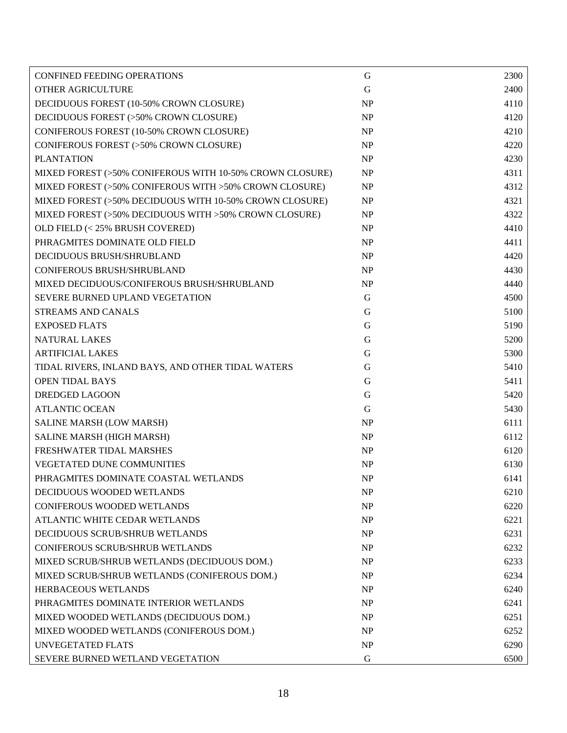| <b>CONFINED FEEDING OPERATIONS</b>                       | G           | 2300 |
|----------------------------------------------------------|-------------|------|
| OTHER AGRICULTURE                                        | $\mathbf G$ | 2400 |
| DECIDUOUS FOREST (10-50% CROWN CLOSURE)                  | <b>NP</b>   | 4110 |
| DECIDUOUS FOREST (>50% CROWN CLOSURE)                    | <b>NP</b>   | 4120 |
| CONIFEROUS FOREST (10-50% CROWN CLOSURE)                 | NP          | 4210 |
| CONIFEROUS FOREST (>50% CROWN CLOSURE)                   | NP          | 4220 |
| <b>PLANTATION</b>                                        | NP          | 4230 |
| MIXED FOREST (>50% CONIFEROUS WITH 10-50% CROWN CLOSURE) | <b>NP</b>   | 4311 |
| MIXED FOREST (>50% CONIFEROUS WITH >50% CROWN CLOSURE)   | NP          | 4312 |
| MIXED FOREST (>50% DECIDUOUS WITH 10-50% CROWN CLOSURE)  | NP          | 4321 |
| MIXED FOREST (>50% DECIDUOUS WITH >50% CROWN CLOSURE)    | <b>NP</b>   | 4322 |
| OLD FIELD (< 25% BRUSH COVERED)                          | <b>NP</b>   | 4410 |
| PHRAGMITES DOMINATE OLD FIELD                            | <b>NP</b>   | 4411 |
| DECIDUOUS BRUSH/SHRUBLAND                                | <b>NP</b>   | 4420 |
| <b>CONIFEROUS BRUSH/SHRUBLAND</b>                        | NP          | 4430 |
| MIXED DECIDUOUS/CONIFEROUS BRUSH/SHRUBLAND               | <b>NP</b>   | 4440 |
| SEVERE BURNED UPLAND VEGETATION                          | G           | 4500 |
| <b>STREAMS AND CANALS</b>                                | $\mathbf G$ | 5100 |
| <b>EXPOSED FLATS</b>                                     | G           | 5190 |
| <b>NATURAL LAKES</b>                                     | G           | 5200 |
| <b>ARTIFICIAL LAKES</b>                                  | G           | 5300 |
| TIDAL RIVERS, INLAND BAYS, AND OTHER TIDAL WATERS        | G           | 5410 |
| <b>OPEN TIDAL BAYS</b>                                   | G           | 5411 |
| <b>DREDGED LAGOON</b>                                    | G           | 5420 |
| <b>ATLANTIC OCEAN</b>                                    | G           | 5430 |
| SALINE MARSH (LOW MARSH)                                 | <b>NP</b>   | 6111 |
| SALINE MARSH (HIGH MARSH)                                | <b>NP</b>   | 6112 |
| FRESHWATER TIDAL MARSHES                                 | <b>NP</b>   | 6120 |
| VEGETATED DUNE COMMUNITIES                               | <b>NP</b>   | 6130 |
| PHRAGMITES DOMINATE COASTAL WETLANDS                     | <b>NP</b>   | 6141 |
| DECIDUOUS WOODED WETLANDS                                | <b>NP</b>   | 6210 |
| <b>CONIFEROUS WOODED WETLANDS</b>                        | <b>NP</b>   | 6220 |
| ATLANTIC WHITE CEDAR WETLANDS                            | <b>NP</b>   | 6221 |
| DECIDUOUS SCRUB/SHRUB WETLANDS                           | <b>NP</b>   | 6231 |
| <b>CONIFEROUS SCRUB/SHRUB WETLANDS</b>                   | <b>NP</b>   | 6232 |
| MIXED SCRUB/SHRUB WETLANDS (DECIDUOUS DOM.)              | <b>NP</b>   | 6233 |
| MIXED SCRUB/SHRUB WETLANDS (CONIFEROUS DOM.)             | <b>NP</b>   | 6234 |
| <b>HERBACEOUS WETLANDS</b>                               | <b>NP</b>   | 6240 |
| PHRAGMITES DOMINATE INTERIOR WETLANDS                    | <b>NP</b>   | 6241 |
| MIXED WOODED WETLANDS (DECIDUOUS DOM.)                   | <b>NP</b>   | 6251 |
| MIXED WOODED WETLANDS (CONIFEROUS DOM.)                  | <b>NP</b>   | 6252 |
| <b>UNVEGETATED FLATS</b>                                 | NP          | 6290 |
| SEVERE BURNED WETLAND VEGETATION                         | G           | 6500 |